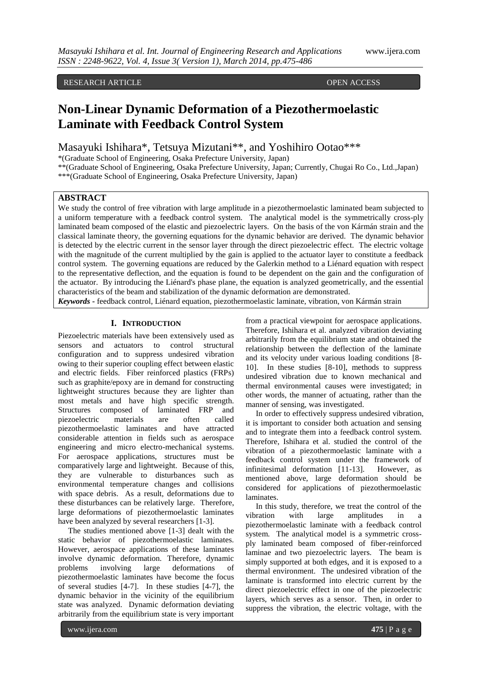# RESEARCH ARTICLE **OPEN ACCESS**

# **Non-Linear Dynamic Deformation of a Piezothermoelastic Laminate with Feedback Control System**

Masayuki Ishihara\*, Tetsuya Mizutani\*\*, and Yoshihiro Ootao\*\*\*

\*(Graduate School of Engineering, Osaka Prefecture University, Japan)

\*\*(Graduate School of Engineering, Osaka Prefecture University, Japan; Currently, Chugai Ro Co., Ltd.,Japan)

\*\*\*(Graduate School of Engineering, Osaka Prefecture University, Japan)

# **ABSTRACT**

We study the control of free vibration with large amplitude in a piezothermoelastic laminated beam subjected to a uniform temperature with a feedback control system. The analytical model is the symmetrically cross-ply laminated beam composed of the elastic and piezoelectric layers. On the basis of the von Kármán strain and the classical laminate theory, the governing equations for the dynamic behavior are derived. The dynamic behavior is detected by the electric current in the sensor layer through the direct piezoelectric effect. The electric voltage with the magnitude of the current multiplied by the gain is applied to the actuator layer to constitute a feedback control system. The governing equations are reduced by the Galerkin method to a Liénard equation with respect to the representative deflection, and the equation is found to be dependent on the gain and the configuration of the actuator. By introducing the Liénard's phase plane, the equation is analyzed geometrically, and the essential characteristics of the beam and stabilization of the dynamic deformation are demonstrated.

*Keywords* **-** feedback control, Liénard equation, piezothermoelastic laminate, vibration, von Kármán strain

# **I. INTRODUCTION**

Piezoelectric materials have been extensively used as sensors and actuators to control structural configuration and to suppress undesired vibration owing to their superior coupling effect between elastic and electric fields. Fiber reinforced plastics (FRPs) such as graphite/epoxy are in demand for constructing lightweight structures because they are lighter than most metals and have high specific strength. Structures composed of laminated FRP and piezoelectric materials are often called piezothermoelastic laminates and have attracted considerable attention in fields such as aerospace engineering and micro electro-mechanical systems. For aerospace applications, structures must be comparatively large and lightweight. Because of this, they are vulnerable to disturbances such as environmental temperature changes and collisions with space debris. As a result, deformations due to these disturbances can be relatively large. Therefore, large deformations of piezothermoelastic laminates have been analyzed by several researchers [1-3].

 The studies mentioned above [1-3] dealt with the static behavior of piezothermoelastic laminates. However, aerospace applications of these laminates involve dynamic deformation. Therefore, dynamic problems involving large deformations of piezothermoelastic laminates have become the focus of several studies [4-7]. In these studies [4-7], the dynamic behavior in the vicinity of the equilibrium state was analyzed. Dynamic deformation deviating arbitrarily from the equilibrium state is very important from a practical viewpoint for aerospace applications. Therefore, Ishihara et al. analyzed vibration deviating arbitrarily from the equilibrium state and obtained the relationship between the deflection of the laminate and its velocity under various loading conditions [8- 10]. In these studies [8-10], methods to suppress undesired vibration due to known mechanical and thermal environmental causes were investigated; in other words, the manner of actuating, rather than the manner of sensing, was investigated.

 In order to effectively suppress undesired vibration, it is important to consider both actuation and sensing and to integrate them into a feedback control system. Therefore, Ishihara et al. studied the control of the vibration of a piezothermoelastic laminate with a feedback control system under the framework of infinitesimal deformation [11-13]. However, as infinitesimal deformation  $[11-13]$ . mentioned above, large deformation should be considered for applications of piezothermoelastic laminates.

 In this study, therefore, we treat the control of the vibration with large amplitudes in a piezothermoelastic laminate with a feedback control system. The analytical model is a symmetric crossply laminated beam composed of fiber-reinforced laminae and two piezoelectric layers. The beam is simply supported at both edges, and it is exposed to a thermal environment. The undesired vibration of the laminate is transformed into electric current by the direct piezoelectric effect in one of the piezoelectric layers, which serves as a sensor. Then, in order to suppress the vibration, the electric voltage, with the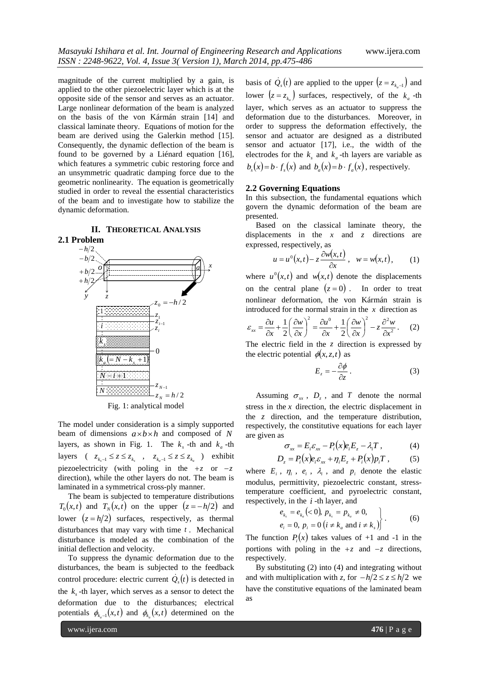magnitude of the current multiplied by a gain, is applied to the other piezoelectric layer which is at the opposite side of the sensor and serves as an actuator. Large nonlinear deformation of the beam is analyzed on the basis of the von Kármán strain [14] and classical laminate theory. Equations of motion for the beam are derived using the Galerkin method [15]. Consequently, the dynamic deflection of the beam is found to be governed by a Liénard equation [16], which features a symmetric cubic restoring force and an unsymmetric quadratic damping force due to the geometric nonlinearity. The equation is geometrically studied in order to reveal the essential characteristics of the beam and to investigate how to stabilize the dynamic deformation.



**2.1 Problem**



Fig. 1: analytical model

The model under consideration is a simply supported beam of dimensions  $a \times b \times h$  and composed of N layers, as shown in Fig. 1. The  $k_s$ -th and  $k_a$ -th layers (  $z_{k_s-1} \le z \le z_{k_s}$ ,  $z_{k_a-1} \le z \le z_{k_a}$ ) exhibit piezoelectricity (with poling in the  $+z$  or  $-z$ direction), while the other layers do not. The beam is laminated in a symmetrical cross-ply manner.

 The beam is subjected to temperature distributions  $T_0(x,t)$  and  $T_N(x,t)$  on the upper  $(z = -h/2)$  and lower  $(z = h/2)$  surfaces, respectively, as thermal disturbances that may vary with time *t* . Mechanical disturbance is modeled as the combination of the initial deflection and velocity.

 To suppress the dynamic deformation due to the disturbances, the beam is subjected to the feedback control procedure: electric current  $\dot{Q}_s(t)$  is detected in the  $k_s$ -th layer, which serves as a sensor to detect the deformation due to the disturbances; electrical potentials  $\phi_{k_a-1}(x,t)$  and  $\phi_{k_a}(x,t)$  determined on the

basis of  $\dot{Q}_s(t)$  are applied to the upper  $(z = z_{k_a-1})$  and lower  $(z = z_{k_a})$  surfaces, respectively, of the  $k_a$ -th layer, which serves as an actuator to suppress the deformation due to the disturbances. Moreover, in order to suppress the deformation effectively, the sensor and actuator are designed as a distributed sensor and actuator [17], i.e., the width of the electrodes for the  $k_s$  and  $k_a$ -th layers are variable as  $b_s(x) = b \cdot f_s(x)$  and  $b_a(x) = b \cdot f_a(x)$ , respectively.

## **2.2 Governing Equations**

In this subsection, the fundamental equations which govern the dynamic deformation of the beam are presented.

 Based on the classical laminate theory, the displacements in the  $x$  and  $z$  directions are expressed, respectively, as

$$
u = u^{0}(x,t) - z \frac{\partial w(x,t)}{\partial x}, \quad w = w(x,t), \quad (1)
$$

where  $u^0(x,t)$  and  $w(x,t)$  denote the displacements on the central plane  $(z=0)$ . In order to treat nonlinear deformation, the von Kármán strain is introduced for the normal strain in the  $x$  direction as

$$
\varepsilon_{xx} = \frac{\partial u}{\partial x} + \frac{1}{2} \left( \frac{\partial w}{\partial x} \right)^2 = \frac{\partial u^0}{\partial x} + \frac{1}{2} \left( \frac{\partial w}{\partial x} \right)^2 - z \frac{\partial^2 w}{\partial x^2}.
$$
 (2)

The electric field in the  $z$  direction is expressed by the electric potential  $\phi(x, z, t)$  as

$$
E_z = -\frac{\partial \phi}{\partial z} \,. \tag{3}
$$

Assuming  $\sigma_{xx}$ ,  $D_z$ , and T denote the normal stress in the  $x$  direction, the electric displacement in the *z* direction, and the temperature distribution, respectively, the constitutive equations for each layer are given as

$$
\sigma_{xx} = E_i \varepsilon_{xx} - P_i(x) e_i E_z - \lambda_i T , \qquad (4)
$$

$$
D_z = P_i(x)e_i\varepsilon_{xx} + \eta_i E_z + P_i(x)p_iT \,, \tag{5}
$$

where  $E_i$ ,  $\eta_i$ ,  $e_i$ ,  $\lambda_i$ , and  $p_i$  denote the elastic modulus, permittivity, piezoelectric constant, stresstemperature coefficient, and pyroelectric constant, respectively, in the *i* -th layer, and

$$
\left\{\n \begin{aligned}\n e_{k_s} &= e_{k_a} &< 0, \ p_{k_s} &= p_{k_a} \neq 0, \\
 e_i &= 0, \ p_i &= 0 \ (i \neq k_a \text{ and } i \neq k_s)\n \end{aligned}\n \right\}.
$$
\n<sup>(6)</sup>

The function  $P_i(x)$  takes values of +1 and -1 in the portions with poling in the  $+z$  and  $-z$  directions, respectively.

 By substituting (2) into (4) and integrating without and with multiplication with *z*, for  $-h/2 \le z \le h/2$  we have the constitutive equations of the laminated beam as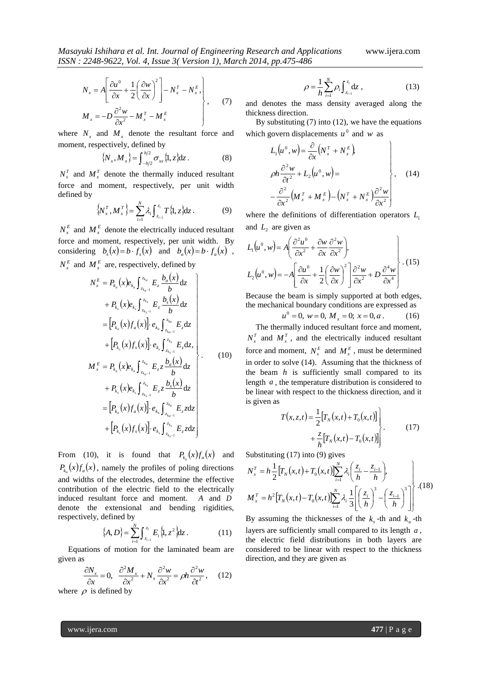$$
N_{x} = A \left[ \frac{\partial u^{0}}{\partial x} + \frac{1}{2} \left( \frac{\partial w}{\partial x} \right)^{2} \right] - N_{x}^{T} - N_{x}^{E},
$$
  

$$
M_{x} = -D \frac{\partial^{2} w}{\partial x^{2}} - M_{x}^{T} - M_{x}^{E},
$$
 (7)

where  $N_x$  and  $M_x$  denote the resultant force and moment, respectively, defined by

$$
\{N_x, M_x\} = \int_{-h/2}^{h/2} \sigma_{xx} \{1, z\} dz.
$$
 (8)

 $N_x^T$  and  $M_x^T$  denote the thermally induced resultant force and moment, respectively, per unit width defined by

$$
\left\{ N_x^T, M_x^T \right\} = \sum_{i=1}^N \lambda_i \int_{z_{i-1}}^{z_i} T\{1, z\} dz \,. \tag{9}
$$

 $N_x^E$  and  $M_x^E$  denote the electrically induced resultant force and moment, respectively, per unit width. By considering  $b_s(x) = b \cdot f_s(x)$  and  $b_a(x) = b \cdot f_a(x)$ ,  $N_x^E$  and  $M_x^E$  are, respectively, defined by

$$
N_{x}^{E} = P_{k_{a}}(x)e_{k_{a}} \int_{z_{k_{a}-1}}^{z_{k_{a}}} E_{z} \frac{b_{a}(x)}{b} dz + P_{k_{s}}(x)e_{k_{s}} \int_{z_{k_{s}-1}}^{z_{k_{s}}} E_{z} \frac{b_{s}(x)}{b} dz = \left[ P_{k_{a}}(x)f_{a}(x) \right] \cdot e_{k_{a}} \int_{z_{k_{a}-1}}^{z_{k_{a}}} E_{z} dz + \left[ P_{k_{s}}(x)f_{s}(x) \right] \cdot e_{k_{s}} \int_{z_{k_{s}-1}}^{z_{k_{s}}} E_{z} dz + P_{k_{s}}(x)e_{k_{a}} \int_{z_{k_{a}-1}}^{z_{k_{a}}} E_{z} z \frac{b_{a}(x)}{b} dz + P_{k_{s}}(x)e_{k_{s}} \int_{z_{k_{s}-1}}^{z_{k_{s}}} E_{z} z \frac{b_{s}(x)}{b} dz = \left[ P_{k_{a}}(x)f_{a}(x) \right] \cdot e_{k_{a}} \int_{z_{k_{a}-1}}^{z_{k_{a}}} E_{z} z dz + \left[ P_{k_{s}}(x)f_{s}(x) \right] \cdot e_{k_{s}} \int_{z_{k_{s}-1}}^{z_{k_{s}}} E_{z} z dz
$$

From (10), it is found that  $P_{k_a}(x) f_a(x)$  and  $P_{k_a}(x) f_a(x)$ , namely the profiles of poling directions and widths of the electrodes, determine the effective contribution of the electric field to the electrically induced resultant force and moment. *A* and *D* denote the extensional and bending rigidities, respectively, defined by

$$
\{A, D\} = \sum_{i=1}^{N} \int_{z_{i-1}}^{z_i} E_i \{1, z^2\} dz.
$$
 (11)

 Equations of motion for the laminated beam are given as

$$
\frac{\partial N_x}{\partial x} = 0, \quad \frac{\partial^2 M_x}{\partial x^2} + N_x \frac{\partial^2 w}{\partial x^2} = \rho h \frac{\partial^2 w}{\partial t^2}, \quad (12)
$$

where  $\rho$  is defined by

$$
\rho = \frac{1}{h} \sum_{i=1}^{N} \rho_i \int_{z_{i-1}}^{z_i} dz , \qquad (13)
$$

and denotes the mass density averaged along the thickness direction.

By substituting  $(7)$  into  $(12)$ , we have the equations which govern displacements  $u^0$  and w as

$$
L_1(u^0, w) = \frac{\partial}{\partial x} (N_x^T + N_x^E)
$$
  
\n
$$
\rho h \frac{\partial^2 w}{\partial t^2} + L_2(u^0, w) =
$$
  
\n
$$
- \frac{\partial^2}{\partial x^2} (M_x^T + M_x^E) - (N_x^T + N_x^E) \frac{\partial^2 w}{\partial x^2} \bigg\}, \quad (14)
$$

where the definitions of differentiation operators  $L_1$ and  $L_2$  are given as

$$
L_1(u^0, w) = A \left( \frac{\partial^2 u^0}{\partial x^2} + \frac{\partial w}{\partial x} \frac{\partial^2 w}{\partial x^2} \right),
$$
  
\n
$$
L_2(u^0, w) = -A \left[ \frac{\partial u^0}{\partial x} + \frac{1}{2} \left( \frac{\partial w}{\partial x} \right)^2 \right] \frac{\partial^2 w}{\partial x^2} + D \frac{\partial^4 w}{\partial x^4}.
$$
 (15)

Because the beam is simply supported at both edges, the mechanical boundary conditions are expressed as

$$
u^0 = 0, \ w = 0, \ M_x = 0; \ x = 0, a \ . \tag{16}
$$

 The thermally induced resultant force and moment,  $N_x^T$  and  $M_x^T$ , and the electrically induced resultant force and moment,  $N_x^E$  and  $M_x^E$ , must be determined in order to solve (14). Assuming that the thickness of the beam  $h$  is sufficiently small compared to its length *a* , the temperature distribution is considered to be linear with respect to the thickness direction, and it is given as

$$
T(x, z, t) = \frac{1}{2} [T_N(x, t) + T_0(x, t)] + \frac{z}{h} [T_N(x, t) - T_0(x, t)]
$$
\n(17)

Substituting (17) into (9) gives

$$
N_x^T = h \frac{1}{2} \Big[ T_N(x, t) + T_0(x, t) \Big] \sum_{i=1}^N \lambda_i \Big( \frac{z_i}{h} - \frac{z_{i-1}}{h} \Big),
$$
  

$$
M_x^T = h^2 \Big[ T_N(x, t) - T_0(x, t) \Big] \sum_{i=1}^N \lambda_i \frac{1}{3} \Bigg[ \Big( \frac{z_i}{h} \Big)^3 - \Big( \frac{z_{i-1}}{h} \Big)^3 \Bigg] \Bigg]^{(18)}
$$

By assuming the thicknesses of the  $k_s$ -th and  $k_a$ -th layers are sufficiently small compared to its length *a* , the electric field distributions in both layers are considered to be linear with respect to the thickness direction, and they are given as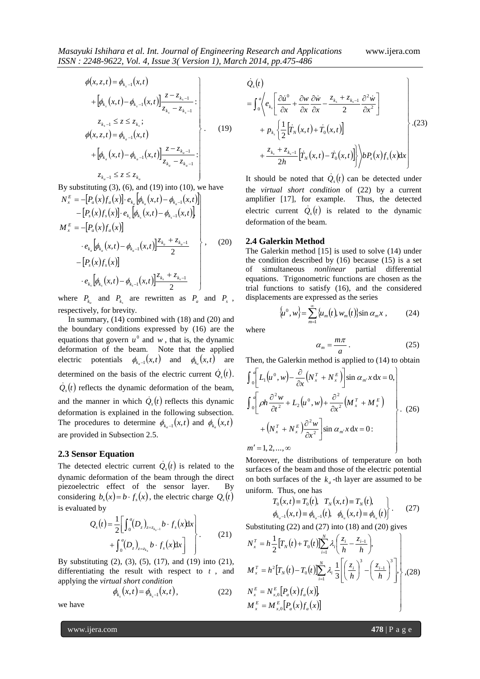$$
\phi(x, z, t) = \phi_{k_{s}-1}(x, t)
$$
\n
$$
+ [\phi_{k_{s}}(x, t) - \phi_{k_{s}-1}(x, t)] \frac{z - z_{k_{s}-1}}{z_{k_{s}} - z_{k_{s}-1}}:
$$
\n
$$
\phi(x, z, t) = \phi_{k_{a}-1}(x, t)
$$
\n
$$
+ [\phi_{k_{a}}(x, t) - \phi_{k_{a}-1}(x, t)] \frac{z - z_{k_{a}-1}}{z_{k_{a}} - z_{k_{a}-1}}:
$$
\n
$$
z_{k_{a}-1} \le z \le z_{k_{a}}
$$
\n(19)

 $a^{-1}$   $\kappa_a$ By substituting  $(3)$ ,  $(6)$ , and  $(19)$  into  $(10)$ , we have

$$
N_{x}^{E} = -[P_{a}(x)f_{a}(x)] \cdot e_{k_{a}} [\phi_{k_{a}}(x,t) - \phi_{k_{a}-1}(x,t)]
$$
  
\n
$$
- [P_{s}(x)f_{s}(x)] \cdot e_{k_{s}} [\phi_{k_{s}}(x,t) - \phi_{k_{s}-1}(x,t)]
$$
  
\n
$$
M_{x}^{E} = -[P_{a}(x)f_{a}(x)]
$$
  
\n
$$
\cdot e_{k_{a}} [\phi_{k_{a}}(x,t) - \phi_{k_{a}-1}(x,t)] \frac{z_{k_{a}} + z_{k_{a}-1}}{2}
$$
  
\n
$$
- [P_{s}(x)f_{s}(x)]
$$
  
\n
$$
\cdot e_{k_{s}} [\phi_{k_{s}}(x,t) - \phi_{k_{s}-1}(x,t)] \frac{z_{k_{s}} + z_{k_{s}-1}}{2}
$$
 (20)

where  $P_{k_a}$  and  $P_{k_s}$  are rewritten as  $P_a$  and  $P_s$ , respectively, for brevity.

 In summary, (14) combined with (18) and (20) and the boundary conditions expressed by (16) are the equations that govern  $u^0$  and  $w$ , that is, the dynamic deformation of the beam. Note that the applied electric potentials  $\phi_{k_a-1}(x,t)$  and  $\phi_{k_a}(x,t)$  are determined on the basis of the electric current  $\dot{Q}_s(t)$ .  $\dot{Q}_s(t)$  reflects the dynamic deformation of the beam, and the manner in which  $\dot{Q}_s(t)$  reflects this dynamic deformation is explained in the following subsection. The procedures to determine  $\phi_{k_a-1}(x,t)$  and  $\phi_{k_a}(x,t)$ are provided in Subsection 2.5.

#### **2.3 Sensor Equation**

The detected electric current  $\dot{Q}_s(t)$  is related to the dynamic deformation of the beam through the direct piezoelectric effect of the sensor layer. By considering  $b_s(x) = b \cdot f_s(x)$ , the electric charge  $Q_s(t)$ is evaluated by

$$
Q_s(t) = \frac{1}{2} \left[ \int_0^a (D_z)_{z=z_{k-1}} b \cdot f_s(x) dx \right] + \int_0^a (D_z)_{z=z_{k_s}} b \cdot f_s(x) dx \right].
$$
 (21)

By substituting (2), (3), (5), (17), and (19) into (21), differentiating the result with respect to *t* , and applying the *virtual short condition*

$$
\phi_{k_s}(x,t) = \phi_{k_{s}-1}(x,t), \qquad (22)
$$

we have

$$
\dot{Q}_s(t)
$$
\n
$$
= \int_0^a \left\langle e_k \left[ \frac{\partial \dot{u}^0}{\partial x} + \frac{\partial w}{\partial x} \frac{\partial \dot{w}}{\partial x} - \frac{z_{k_s} + z_{k_s-1}}{2} \frac{\partial^2 \dot{w}}{\partial x^2} \right] + p_{k_s} \left\{ \frac{1}{2} \left[ \dot{T}_N(x, t) + \dot{T}_0(x, t) \right] + \frac{z_{k_s} + z_{k_s-1}}{2h} \left[ \dot{T}_N(x, t) - \dot{T}_0(x, t) \right] \right\} \right\rangle b P_s(x) f_s(x) dx
$$
\n(23)

It should be noted that  $\dot{Q}_s(t)$  can be detected under the *virtual short condition* of (22) by a current amplifier [17], for example. Thus, the detected electric current  $\dot{Q}_s(t)$  is related to the dynamic deformation of the beam.

#### **2.4 Galerkin Method**

The Galerkin method [15] is used to solve (14) under the condition described by  $(16)$  because  $(15)$  is a set of simultaneous *nonlinear* partial differential equations. Trigonometric functions are chosen as the trial functions to satisfy (16), and the considered displacements are expressed as the series

$$
\{\mu^0, w\} = \sum_{m=1}^{\infty} {\{\mu_m(t), w_m(t)\}} \sin \alpha_m x , \qquad (24)
$$

where

$$
\alpha_m = \frac{m\pi}{a} \,. \tag{25}
$$

Then, the Galerkin method is applied to (14) to obtain

$$
\int_{0}^{a} \left[ L_{1}(u^{0}, w) - \frac{\partial}{\partial x} (N_{x}^{T} + N_{x}^{E}) \right] \sin \alpha_{m} x \, dx = 0,
$$
\n
$$
\int_{0}^{a} \left[ \rho h \frac{\partial^{2} w}{\partial t^{2}} + L_{2}(u^{0}, w) + \frac{\partial^{2}}{\partial x^{2}} (M_{x}^{T} + M_{x}^{E}) + (N_{x}^{T} + N_{x}^{E}) \frac{\partial^{2} w}{\partial x^{2}} \right] \sin \alpha_{m} x \, dx = 0.
$$
\n
$$
m' = 1, 2, ..., \infty
$$
\n(26)

 $m' = 1, 2, ..., \infty$ 

Moreover, the distributions of temperature on both surfaces of the beam and those of the electric potential on both surfaces of the  $k_a$ -th layer are assumed to be uniform. Thus, one has

$$
T_0(x,t) \equiv T_0(t), \quad T_N(x,t) \equiv T_N(t),
$$
  
\n
$$
\phi_{k_a-1}(x,t) \equiv \phi_{k_a-1}(t), \quad \phi_{k_a}(x,t) \equiv \phi_{k_a}(t) \bigg\}.
$$
 (27)

Substituting (22) and (27) into (18) and (20) gives

$$
N_x^T = h \frac{1}{2} [T_N(t) + T_0(t)] \sum_{i=1}^N \lambda_i \left( \frac{z_i}{h} - \frac{z_{i-1}}{h} \right),
$$
  
\n
$$
M_x^T = h^2 [T_N(t) - T_0(t)] \sum_{i=1}^N \lambda_i \frac{1}{3} \left[ \left( \frac{z_i}{h} \right)^3 - \left( \frac{z_{i-1}}{h} \right)^3 \right],
$$
  
\n
$$
N_x^E = N_{x,0}^E [P_a(x) f_a(x)]
$$
  
\n
$$
M_x^E = M_{x,0}^E [P_a(x) f_a(x)]
$$
 (28)

www.ijera.com **478** | P a g e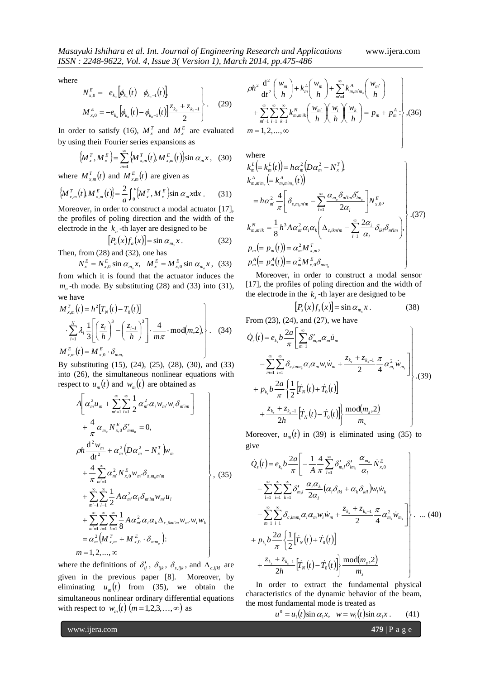J

where

$$
N_{x,0}^{E} = -e_{k_a} \left[ \phi_{k_a}(t) - \phi_{k_{a}-1}(t) \right]
$$
  

$$
M_{x,0}^{E} = -e_{k_a} \left[ \phi_{k_a}(t) - \phi_{k_{a}-1}(t) \right] \frac{z_{k_a} + z_{k_{a}-1}}{2} \qquad (29)
$$

In order to satisfy (16),  $M_x^T$  and  $M_x^E$  are evaluated by using their Fourier series expansions as

$$
\left\{\!M_x^T,M_x^E\right\} = \sum_{m=1}^{\infty} \left\{\!M_{x,m}^T\!\left(t\right)\!,M_{x,m}^E\!\left(t\right)\!\right\}\!\sin\alpha_m x\,,\ \ \, (30)
$$

where  $M_{x,m}^T(t)$  and  $M_{x,m}^E(t)$  are given as

$$
\left\{ M_{x,m}^T(t) M_{x,m}^E(t) \right\} = \frac{2}{a} \int_0^a \left\{ M_x^T, M_x^E \right\} \sin \alpha_m x \, dx \,. \tag{31}
$$

Moreover, in order to construct a modal actuator [17], the profiles of poling direction and the width of the electrode in the  $k_a$ -th layer are designed to be

$$
[P_a(x)f_a(x)] = \sin \alpha_{m_a} x.
$$
 (32)

Then, from (28) and (32), one has

$$
N_{x}^{E} = N_{x,0}^{E} \sin \alpha_{m_{a}} x, \quad M_{x}^{E} = M_{x,0}^{E} \sin \alpha_{m_{a}} x, \quad (33)
$$

from which it is found that the actuator induces the  $m_a$ -th mode. By substituting (28) and (33) into (31), we have

$$
M_{x,m}^T(t) = h^2 [T_N(t) - T_0(t)]
$$
  
\n
$$
\left. \sum_{i=1}^N \lambda_i \frac{1}{3} \left[ \left( \frac{z_i}{h} \right)^3 - \left( \frac{z_{i-1}}{h} \right)^3 \right] \cdot \frac{4}{m\pi} \cdot \text{mod}(m,2), \right\}.
$$
 (34)  
\n
$$
M_{x,m}^E(t) = M_{x,0}^E \cdot \delta_{mm_a}
$$

By substituting (15), (24), (25), (28), (30), and (33) into (26), the simultaneous nonlinear equations with respect to  $u_m(t)$  and  $w_m(t)$  are obtained as

$$
A\left[\alpha_{m}^{2}u_{m} + \sum_{m'=1}^{\infty}\sum_{i=1}^{\infty}\frac{1}{2}\alpha_{m'}^{2}\alpha_{i}w_{m'}w_{i}\delta_{m'm}\right] + \frac{4}{\pi}\alpha_{m_{a}}N_{x,0}^{E}\delta'_{mm_{a}} = 0, \rho h \frac{d^{2}w_{m}}{dt^{2}} + \alpha_{m}^{2}\left(D\alpha_{m}^{2} - N_{x}^{T}\right)w_{m} + \frac{4}{\pi}\sum_{m'=1}^{\infty}\alpha_{m'}^{2}N_{x,0}^{E}w_{m'}\delta_{s,m_{a}m'm} + \sum_{m'=1}^{\infty}\sum_{l=1}^{\infty}\frac{1}{2}A\alpha_{m'}^{2}\alpha_{l}\delta_{m'm}w_{m'}u_{l} + \sum_{m'=1}^{\infty}\sum_{i=1}^{\infty}\sum_{k=1}^{\infty}\frac{1}{8}A\alpha_{m'}^{2}\alpha_{i}\alpha_{k}\Delta_{c,ikm'm}w_{m'}w_{i}w_{k} = \alpha_{m}^{2}\left(M_{x,m}^{T} + M_{x,0}^{E} \cdot \delta_{mm_{a}}\right): m = 1, 2, ..., \infty
$$

where the definitions of  $\delta'_{ij}$ ,  $\delta_{ijk}$ ,  $\delta_{s,ijk}$ , and  $\Delta_{c,ijkl}$  are given in the previous paper [8]. Moreover, by eliminating  $u_m(t)$  from (35), we obtain the simultaneous nonlinear ordinary differential equations with respect to  $w_m(t)$   $(m=1,2,3,...,\infty)$  as

$$
\rho h^2 \frac{d^2}{dt^2} \left( \frac{w_m}{h} \right) + k_m^L \left( \frac{w_m}{h} \right) + \sum_{m'=1}^{\infty} k_{m,m'm_n}^A \left( \frac{w_{m'}}{h} \right) + \sum_{m'=1}^{\infty} \sum_{i=1}^{\infty} \sum_{k=1}^{\infty} k_{m,m'ik}^N \left( \frac{w_{m'}}{h} \right) \left( \frac{w_i}{h} \right) \left( \frac{w_k}{h} \right) = p_m + p_m^A : , (36)
$$
  
\n $m = 1, 2, ..., \infty$ 

where

$$
\left\{\n\begin{aligned}\nk_m^L &= k_m^L(t)\n\end{aligned}\n\right\} = h\alpha_m^2 \left(D\alpha_m^2 - N_x^T\right), \\
k_{m,m'm_a}^A &= k_{m,m'm_a}^A(t)\n\end{aligned}\n\right\} = h\alpha_m^2 \frac{4}{\pi} \left[ \delta_{s,m_a m'm} - \sum_{l=1}^\infty \frac{\alpha_{m_a} \delta_{m'l m} \delta'_{l m_a}}{2\alpha_l} \right] N_{x,0}^E,
$$
\n
$$
\left\{\n\begin{aligned}\nk_{m,m'ik}^N &= \frac{1}{8} h^3 A \alpha_{m'}^2 \alpha_i \alpha_k \left(\Delta_{c,ikm'm} - \sum_{l=1}^\infty \frac{2\alpha_i}{\alpha_l} \delta_{ikl} \delta_{m'l m}\right), \\
p_m &= p_m(t)\n\end{aligned}\n\right\} \tag{37}
$$
\n
$$
P_m^A = p_m^A(t)\n\left\{\n= \alpha_m^2 M_{x,m}^T,
$$

 Moreover, in order to construct a modal sensor [17], the profiles of poling direction and the width of the electrode in the  $k<sub>s</sub>$  -th layer are designed to be

$$
[P_s(x)f_s(x)] = \sin \alpha_{m_s} x. \tag{38}
$$

From (23), (24), and (27), we have

$$
\dot{Q}_{s}(t) = e_{k_{s}} b \frac{2a}{\pi} \left[ \sum_{m=1}^{\infty} \delta'_{m,m} \alpha_{m} \dot{u}_{m} - \sum_{m=1}^{\infty} \sum_{i=1}^{\infty} \delta_{c,imm_{s}} \alpha_{i} \alpha_{m} w_{i} \dot{w}_{m} + \frac{z_{k_{s}} + z_{k_{s}-1}}{2} \frac{\pi}{4} \alpha_{m_{s}}^{2} \dot{w}_{m_{s}} \right] + p_{k_{s}} b \frac{2a}{\pi} \left\{ \frac{1}{2} \left[ \dot{T}_{N}(t) + \dot{T}_{0}(t) \right] + \frac{z_{k_{s}} + z_{k_{s}-1}}{2h} \left[ \dot{T}_{N}(t) - \dot{T}_{0}(t) \right] \right\} \frac{\text{mod}(m_{s}, 2)}{m_{s}}
$$
\n(39)

Moreover,  $u_m(t)$  in (39) is eliminated using (35) to give

$$
\dot{Q}_{s}(t) = e_{k_{s}} b \frac{2a}{\pi} \left[ -\frac{1}{A} \frac{4}{\pi} \sum_{l=1}^{\infty} \delta'_{m_{s}} \delta'_{lm_{a}} \frac{\alpha_{m_{a}}}{\alpha_{l}} \dot{N}^{E}_{x,0} \right]
$$
\n
$$
- \sum_{l=1}^{\infty} \sum_{i=1}^{\infty} \sum_{k=1}^{\infty} \delta'_{m_{s}l} \frac{\alpha_{i}\alpha_{k}}{2\alpha_{l}} (\alpha_{i}\delta_{ikl} + \alpha_{k}\delta_{kil}) w_{i} \dot{w}_{k}
$$
\n
$$
- \sum_{m=1}^{\infty} \sum_{i=1}^{\infty} \delta_{c,imm_{i}} \alpha_{i} \alpha_{m} w_{i} \dot{w}_{m} + \frac{z_{k_{s}} + z_{k_{s}-1}}{2} \frac{\pi}{4} \alpha_{m_{s}}^{2} \dot{w}_{m_{s}} \right] \left\{ \dots \tag{40} \right.
$$
\n
$$
+ p_{k_{s}} b \frac{2a}{\pi} \left\{ \frac{1}{2} \left[ \dot{T}_{N}(t) + \dot{T}_{0}(t) \right] + \frac{z_{k_{s}} + z_{k_{s}-1}}{2h} \left[ \dot{T}_{N}(t) - \dot{T}_{0}(t) \right] \right\} \frac{\text{mod}(m_{s}, 2)}{m_{s}}
$$

 In order to extract the fundamental physical characteristics of the dynamic behavior of the beam, the most fundamental mode is treated as

$$
u^{0} = u_{1}(t) \sin \alpha_{1} x, \quad w = w_{1}(t) \sin \alpha_{1} x. \tag{41}
$$

www.ijera.com **479** | P a g e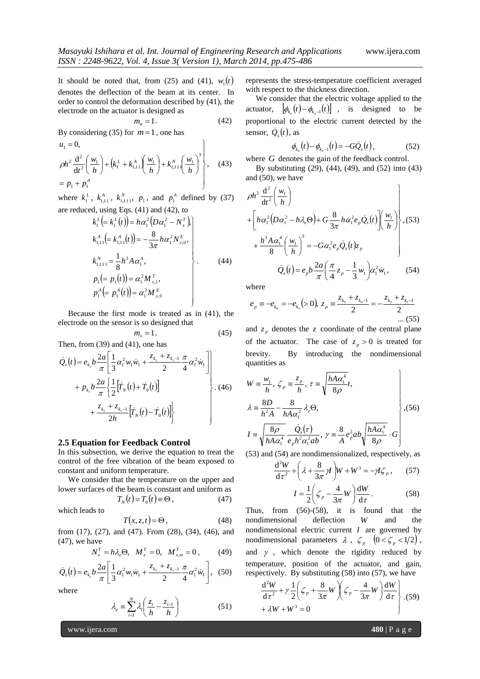It should be noted that, from (25) and (41),  $w_1(t)$ denotes the deflection of the beam at its center. In order to control the deformation described by (41), the electrode on the actuator is designed as

$$
m_a = 1. \t\t(42)
$$

By considering (35) for  $m=1$ , one has

$$
\begin{aligned}\nu_1 &= 0, \\
\int_0 h^2 \frac{d^2}{dt^2} \left( \frac{w_1}{h} \right) + \left( k_1^L + k_{1,11}^A \left( \frac{w_1}{h} \right) + k_{1,11}^N \left( \frac{w_1}{h} \right)^3 \right) \\
&= p_1 + p_1^A\n\end{aligned}
$$
\n(43)

where  $k_1^L$ ,  $k_{1,11}^A$ ,  $k_{1,11}^N$ ,  $p_1$ , and  $p_1^A$  defined by (37) are reduced, using Eqs. (41) and (42), to

$$
k_1^L = k_1^L(t) = h\alpha_1^2 (D\alpha_1^2 - N_x^T),
$$
  
\n
$$
k_{1,11}^A = k_{1,11}^A(t) = -\frac{8}{3\pi} h\alpha_1^2 N_{x,0}^E,
$$
  
\n
$$
k_{1,111}^N = \frac{1}{8} h^3 A \alpha_1^4,
$$
  
\n
$$
p_1 (= p_1(t)) = \alpha_1^2 M_{x,1}^T,
$$
  
\n
$$
p_1^A = p_1^A(t) = \alpha_1^2 M_{x,0}^E
$$
 (44)

 Because the first mode is treated as in (41), the electrode on the sensor is so designed that

$$
m_s = 1. \tag{45}
$$

Then, from (39) and (41), one has

$$
\dot{Q}_s(t) = e_{k_s} b \frac{2a}{\pi} \left[ \frac{1}{3} \alpha_1^2 w_1 \dot{w}_1 + \frac{z_{k_s} + z_{k_{s-1}}}{2} \frac{\pi}{4} \alpha_1^2 \dot{w}_1 \right] + p_{k_s} b \frac{2a}{\pi} \left\{ \frac{1}{2} [\dot{r}_N(t) + \dot{r}_0(t)] + \frac{z_{k_s} + z_{k_{s-1}}}{2h} [\dot{r}_N(t) - \dot{r}_0(t)] \right\}.
$$
\n(46)

#### **2.5 Equation for Feedback Control**

In this subsection, we derive the equation to treat the control of the free vibration of the beam exposed to constant and uniform temperature.

 We consider that the temperature on the upper and lower surfaces of the beam is constant and uniform as

$$
T_N(t) = T_0(t) \equiv \Theta \,, \tag{47}
$$

which leads to

$$
T(x, z, t) = \Theta, \qquad (48)
$$

from (17), (27), and (47). From (28), (34), (46), and  $(47)$ , we have

$$
N_x^T = h\lambda_e \Theta, \ \ M_x^T = 0, \ \ M_{x,m}^T = 0 \,, \tag{49}
$$

$$
\dot{Q}_s(t) = e_{k_s} b \frac{2a}{\pi} \left[ \frac{1}{3} \alpha_1^2 w_1 \dot{w}_1 + \frac{z_{k_s} + z_{k_{s-1}}}{2} \frac{\pi}{4} \alpha_1^2 \dot{w}_1 \right], \quad (50)
$$

where

$$
\lambda_e = \sum_{i=1}^{N} \lambda_i \left( \frac{z_i}{h} - \frac{z_{i-1}}{h} \right) \tag{51}
$$

represents the stress-temperature coefficient averaged with respect to the thickness direction.

 We consider that the electric voltage applied to the actuator,  $\left[\phi_{k_a}(t) - \phi_{k_{a-1}}(t)\right]$ , is designed to be proportional to the electric current detected by the sensor,  $\dot{Q}_s(t)$ , as

$$
\phi_{k_a}(t) - \phi_{k_{a}-1}(t) = -G \dot{Q}_s(t), \qquad (52)
$$

where G denotes the gain of the feedback control.

 By substituting (29), (44), (49), and (52) into (43) and (50), we have

$$
\rho h^2 \frac{d^2}{dt^2} \left( \frac{w_1}{h} \right)
$$
  
+ 
$$
\left[ h\alpha_1^2 \left( D\alpha_1^2 - h\lambda_e \Theta \right) + G \frac{8}{3\pi} h\alpha_1^2 e_p \dot{Q}_s(t) \right] \left( \frac{w_1}{h} \right), (53)
$$
  
+ 
$$
\frac{h^3 A \alpha_1^4}{8} \left( \frac{w_1}{h} \right)^3 = -G\alpha_1^2 e_p \dot{Q}_s(t) z_p
$$
  

$$
\dot{Q}_s(t) = e_p b \frac{2a}{\pi} \left( \frac{\pi}{4} z_p - \frac{1}{3} w_1 \right) \alpha_1^2 \dot{w}_1, \qquad (54)
$$

where

$$
e_p = -e_{k_a} = -e_{k_s} (> 0), z_p = \frac{z_{k_a} + z_{k_a-1}}{2} = -\frac{z_{k_s} + z_{k_s-1}}{2}
$$
 ... (55)

and  $z_p$  denotes the z coordinate of the central plane of the actuator. The case of  $z_p > 0$  is treated for brevity. By introducing the nondimensional quantities as

$$
W = \frac{w_1}{h}, \zeta_p = \frac{z_p}{h}, \tau = \sqrt{\frac{hA\alpha_1^4}{8\rho}}t,
$$
  
\n
$$
\lambda = \frac{8D}{h^2A} - \frac{8}{hA\alpha_1^2} \lambda_e \Theta,
$$
  
\n
$$
I = \sqrt{\frac{8\rho}{h^2\phi}} \frac{\dot{Q}_s(\tau)}{\dot{Q}_s(\tau)} \frac{8}{\phi_s^2\phi_s^2} \left[\frac{hA\alpha_1^4}{hA\alpha_1^4} \right], (56)
$$

$$
I = \sqrt{\frac{8\rho}{hA\alpha_1^4} \frac{Q_s(\tau)}{e_p h^2 \alpha_1^2 ab}}, \gamma = \frac{8}{A} e_p^2 ab \sqrt{\frac{hA\alpha_1^2}{8\rho}} \cdot G
$$

(53) and (54) are nondimensionalized, respectively, as

$$
\frac{d^2W}{d\tau^2} + \left(\lambda + \frac{8}{3\pi}\gamma\right)W + W^3 = -\gamma I\zeta_p, \qquad (57)
$$

$$
I = \frac{1}{2}\left(\zeta_p - \frac{4}{3\pi}W\right)\frac{dW}{d\tau}.
$$
 (58)

Thus, from (56)-(58), it is found that the nondimensional deflection *W* and the nondimensional electric current *I* are governed by nondimensional parameters  $\lambda$ ,  $\zeta_p$   $(0 < \zeta_p < 1/2)$ , and  $\gamma$ , which denote the rigidity reduced by temperature, position of the actuator, and gain, respectively. By substituting (58) into (57), we have

$$
\frac{d^2W}{d\tau^2} + \gamma \frac{1}{2} \left( \zeta_p + \frac{8}{3\pi} W \right) \left( \zeta_p - \frac{4}{3\pi} W \right) \frac{dW}{d\tau} \bigg|_{\mathcal{A}} \tag{59}.
$$

www.ijera.com **480** | P a g e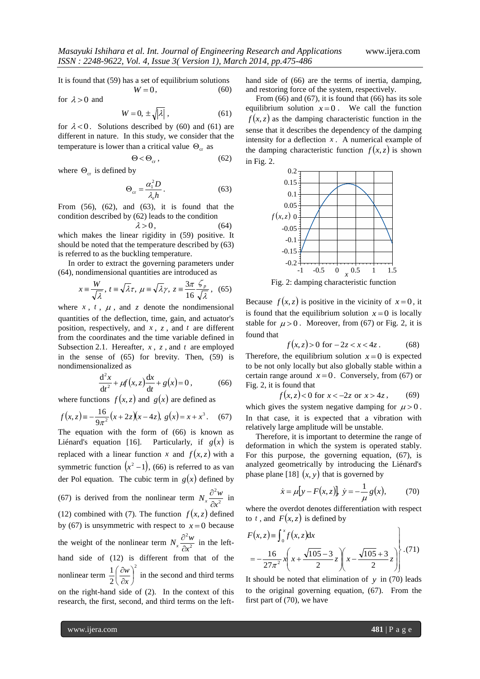It is found that (59) has a set of equilibrium solutions

for  $\lambda > 0$  and

$$
W = 0, \pm \sqrt{|\lambda|}, \qquad (61)
$$

 $W = 0,$  (60)

for  $\lambda < 0$ . Solutions described by (60) and (61) are different in nature. In this study, we consider that the temperature is lower than a critical value  $\Theta_{cr}$  as

$$
\Theta < \Theta_{\rm cr} \,, \tag{62}
$$

where  $\Theta_{cr}$  is defined by

$$
\Theta_{\rm cr} = \frac{\alpha_{\rm i}^2 D}{\lambda_e h} \,. \tag{63}
$$

From  $(56)$ ,  $(62)$ , and  $(63)$ , it is found that the condition described by (62) leads to the condition

$$
\lambda > 0, \tag{64}
$$

which makes the linear rigidity in (59) positive. It should be noted that the temperature described by (63) is referred to as the buckling temperature.

 In order to extract the governing parameters under (64), nondimensional quantities are introduced as

$$
x \equiv \frac{W}{\sqrt{\lambda}}, t \equiv \sqrt{\lambda}\tau, \ \mu \equiv \sqrt{\lambda}\gamma, \ z \equiv \frac{3\pi}{16} \frac{\zeta_p}{\sqrt{\lambda}}, \ \ (65)
$$

where  $x$ ,  $t$ ,  $\mu$ , and  $z$  denote the nondimensional quantities of the deflection, time, gain, and actuator's position, respectively, and *x* , *z* , and *t* are different from the coordinates and the time variable defined in Subsection 2.1. Hereafter,  $x$ ,  $z$ , and  $t$  are employed in the sense of (65) for brevity. Then, (59) is nondimensionalized as

$$
\frac{d^2x}{dt^2} + \mu f(x, z) \frac{dx}{dt} + g(x) = 0, \qquad (66)
$$

where functions  $f(x, z)$  and  $g(x)$  are defined as

$$
f(x, z) = -\frac{16}{9\pi^2} (x + 2z)(x - 4z), \ g(x) = x + x^3. \tag{67}
$$

The equation with the form of (66) is known as Liénard's equation  $[16]$ .  $g(x)$  is replaced with a linear function x and  $f(x, z)$  with a symmetric function  $(x^2 - 1)$ , (66) is referred to as van der Pol equation. The cubic term in  $g(x)$  defined by (67) is derived from the nonlinear term  $N_x \frac{\sigma}{\partial x^2}$ 2 *x*  $N_x \frac{\partial^2 w}{\partial x^2}$  $\frac{\partial^2 w}{\partial x^2}$  in (12) combined with (7). The function  $f(x, z)$  defined by (67) is unsymmetric with respect to  $x=0$  because

the weight of the nonlinear term  $N_x \frac{\sigma}{\sigma^2}$ 2 *x*  $N_x \frac{\partial^2 w}{\partial x^2}$  $\frac{\partial^2 w}{\partial x^2}$  in the lefthand side of (12) is different from that of the nonlinear term 2 2  $\frac{1}{2} \left( \frac{\partial w}{\partial x} \right)$ J  $\left(\frac{\partial w}{\partial x}\right)$ J ſ  $\partial$  $\partial$ *x*  $\left(\frac{w}{w}\right)^2$  in the second and third terms on the right-hand side of (2). In the context of this research, the first, second, and third terms on the lefthand side of (66) are the terms of inertia, damping, and restoring force of the system, respectively.

From  $(66)$  and  $(67)$ , it is found that  $(66)$  has its sole equilibrium solution  $x=0$ . We call the function  $f(x, z)$  as the damping characteristic function in the sense that it describes the dependency of the damping intensity for a deflection  $x$ . A numerical example of the damping characteristic function  $f(x, z)$  is shown in Fig. 2.



Fig. 2: damping characteristic function

Because  $f(x, z)$  is positive in the vicinity of  $x = 0$ , it is found that the equilibrium solution  $x=0$  is locally stable for  $\mu > 0$ . Moreover, from (67) or Fig. 2, it is found that

$$
f(x, z) > 0 \text{ for } -2z < x < 4z \,. \tag{68}
$$

Therefore, the equilibrium solution  $x=0$  is expected to be not only locally but also globally stable within a certain range around  $x=0$ . Conversely, from (67) or Fig. 2, it is found that

$$
f(x, z) < 0
$$
 for  $x < -2z$  or  $x > 4z$ , (69)

which gives the system negative damping for  $\mu > 0$ . In that case, it is expected that a vibration with relatively large amplitude will be unstable.

 Therefore, it is important to determine the range of deformation in which the system is operated stably. For this purpose, the governing equation, (67), is analyzed geometrically by introducing the Liénard's phase plane [18]  $(x, y)$  that is governed by

$$
\dot{x} = \mu[y - F(x, z)], \ \dot{y} = -\frac{1}{\mu}g(x),
$$
 (70)

where the overdot denotes differentiation with respect to t, and  $F(x, z)$  is defined by

$$
F(x, z) = \int_0^x f(x, z) dx
$$
  
=  $-\frac{16}{27\pi^2} x \left( x + \frac{\sqrt{105} - 3}{2} z \right) \left( x - \frac{\sqrt{105} + 3}{2} z \right)$  (71)

It should be noted that elimination of  $y$  in (70) leads to the original governing equation, (67). From the first part of (70), we have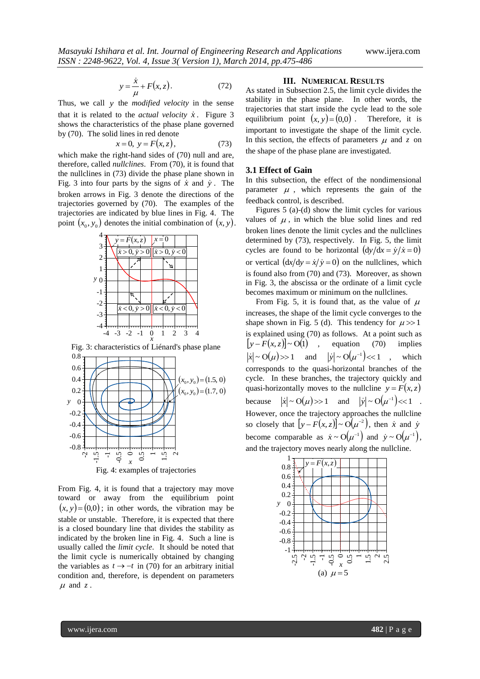$$
y = \frac{\dot{x}}{\mu} + F(x, z). \tag{72}
$$

Thus, we call *y* the *modified velocity* in the sense that it is related to the *actual velocity*  $\dot{x}$ . Figure 3 shows the characteristics of the phase plane governed by (70). The solid lines in red denote

$$
x = 0, \ y = F(x, z), \tag{73}
$$

which make the right-hand sides of (70) null and are, therefore, called *nullclines*. From (70), it is found that the nullclines in (73) divide the phase plane shown in Fig. 3 into four parts by the signs of  $\dot{x}$  and  $\dot{y}$ . The broken arrows in Fig. 3 denote the directions of the trajectories governed by (70). The examples of the trajectories are indicated by blue lines in Fig. 4. The point  $(x_0, y_0)$  denotes the initial combination of  $(x, y)$ .



Fig. 3: characteristics of Liénard's phase plane



From Fig. 4, it is found that a trajectory may move toward or away from the equilibrium point  $(x, y) = (0,0)$ ; in other words, the vibration may be stable or unstable. Therefore, it is expected that there is a closed boundary line that divides the stability as indicated by the broken line in Fig. 4. Such a line is usually called the *limit cycle*. It should be noted that the limit cycle is numerically obtained by changing the variables as  $t \rightarrow -t$  in (70) for an arbitrary initial condition and, therefore, is dependent on parameters  $\mu$  and  $z$ .

#### **III. NUMERICAL RESULTS**

As stated in Subsection 2.5, the limit cycle divides the stability in the phase plane. In other words, the trajectories that start inside the cycle lead to the sole equilibrium point  $(x, y) = (0,0)$ . Therefore, it is important to investigate the shape of the limit cycle. In this section, the effects of parameters  $\mu$  and  $\zeta$  on the shape of the phase plane are investigated.

#### **3.1 Effect of Gain**

In this subsection, the effect of the nondimensional parameter  $\mu$ , which represents the gain of the feedback control, is described.

 Figures 5 (a)-(d) show the limit cycles for various values of  $\mu$ , in which the blue solid lines and red broken lines denote the limit cycles and the nullclines determined by (73), respectively. In Fig. 5, the limit cycles are found to be horizontal  $\left(\frac{dy}{dx} = \dot{y}/\dot{x} = 0\right)$ or vertical  $\left(\frac{dx}{dy} = \dot{x}\right) = 0$  on the nullclines, which is found also from (70) and (73). Moreover, as shown in Fig. 3, the abscissa or the ordinate of a limit cycle becomes maximum or minimum on the nullclines.

-4 -3 -2 -1 0 1 2 3 4 is explained using (70) as follows. At a point such as From Fig. 5, it is found that, as the value of  $\mu$ increases, the shape of the limit cycle converges to the shape shown in Fig. 5 (d). This tendency for  $\mu \gg 1$  $|y - F(x, z)| \sim O(1)$ , equation (70) implies  $|\dot{x}| \sim O(\mu)$  >> 1 and  $|\dot{y}| \sim O(\mu^{-1})$  << 1 which corresponds to the quasi-horizontal branches of the cycle. In these branches, the trajectory quickly and quasi-horizontally moves to the nullcline  $y = F(x, z)$ because  $|\dot{x}| \sim O(\mu)$  >> 1 and  $|\dot{y}| \sim O(\mu^{-1})$  << 1 . However, once the trajectory approaches the nullcline so closely that  $[y - F(x, z)] \sim O(\mu^{-2})$ , then *x* and *y* become comparable as  $\dot{x} \sim O(\mu^{-1})$  and  $\dot{y} \sim O(\mu^{-1})$ , and the trajectory moves nearly along the nullcline.

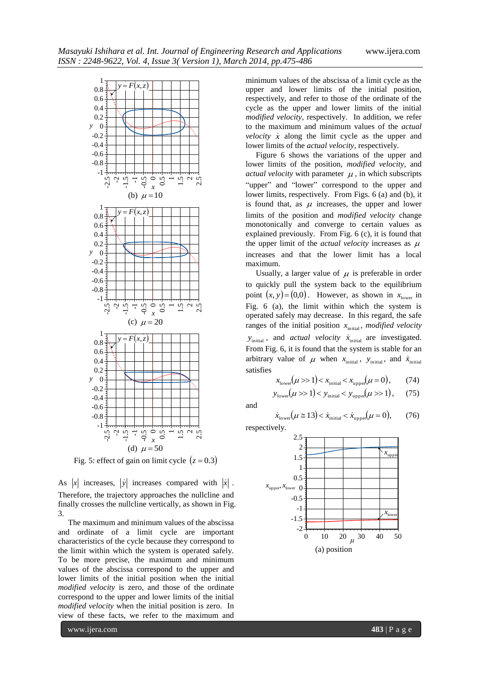

Fig. 5: effect of gain on limit cycle  $(z = 0.3)$ 

As |x| increases, |y| increases compared with  $|x|$ . Therefore, the trajectory approaches the nullcline and finally crosses the nullcline vertically, as shown in Fig. 3.

 The maximum and minimum values of the abscissa and ordinate of a limit cycle are important characteristics of the cycle because they correspond to the limit within which the system is operated safely. To be more precise, the maximum and minimum values of the abscissa correspond to the upper and lower limits of the initial position when the initial *modified velocity* is zero, and those of the ordinate correspond to the upper and lower limits of the initial *modified velocity* when the initial position is zero. In view of these facts, we refer to the maximum and

minimum values of the abscissa of a limit cycle as the upper and lower limits of the initial position, respectively, and refer to those of the ordinate of the cycle as the upper and lower limits of the initial *modified velocity*, respectively. In addition, we refer to the maximum and minimum values of the *actual velocity*  $\dot{x}$  along the limit cycle as the upper and lower limits of the *actual velocity*, respectively.

 $\frac{1}{\alpha}$   $\frac{1}{\alpha}$   $\frac{1}{\alpha}$   $\frac{1}{\alpha}$   $\frac{1}{\alpha}$   $\frac{1}{\alpha}$  "upper" and "lower" correspond to the upper and Figure 6 shows the variations of the upper and lower limits of the position, *modified velocity*, and *actual velocity* with parameter  $\mu$ , in which subscripts lower limits, respectively. From Figs. 6 (a) and (b), it is found that, as  $\mu$  increases, the upper and lower limits of the position and *modified velocity* change monotonically and converge to certain values as explained previously. From Fig. 6 (c), it is found that the upper limit of the *actual velocity* increases as  $\mu$ increases and that the lower limit has a local maximum.

 $\vec{r}$   $\vec{r}$   $\vec{r}$   $\vec{r}$   $\vec{r}$   $\vec{r}$   $\vec{r}$   $\vec{r}$   $\vec{r}$   $\vec{r}$   $\vec{r}$   $\vec{r}$   $\vec{r}$   $\vec{r}$   $\vec{r}$   $\vec{r}$   $\vec{r}$   $\vec{r}$   $\vec{r}$   $\vec{r}$   $\vec{r}$   $\vec{r}$   $\vec{r}$   $\vec{r}$   $\vec{r}$   $\vec{r}$   $\vec{r}$   $\vec{r$ Usually, a larger value of  $\mu$  is preferable in order to quickly pull the system back to the equilibrium point  $(x, y) = (0,0)$ . However, as shown in  $x_{\text{lower}}$  in operated safely may decrease. In this regard, the safe ranges of the initial position  $x<sub>initial</sub>$ *, modified velocity*  $y<sub>initial</sub>$ , and *actual velocity*  $\dot{x}<sub>initial</sub>$  are investigated. From Fig. 6, it is found that the system is stable for an arbitrary value of  $\mu$  when  $x_{initial}$ ,  $y_{initial}$ , and  $\dot{x}_{initial}$ satisfies

$$
x_{\text{lower}}(\mu \gg 1) < x_{\text{initial}} < x_{\text{upper}}(\mu = 0), \tag{74}
$$
\n
$$
y_{\text{lower}}(\mu \gg 1) < y_{\text{initial}} < y_{\text{upper}}(\mu \gg 1), \tag{75}
$$

and

$$
\dot{x}_{\text{lower}}(\mu \equiv 13) < \dot{x}_{\text{initial}} < \dot{x}_{\text{upper}}(\mu = 0), \qquad (76)
$$

respectively.

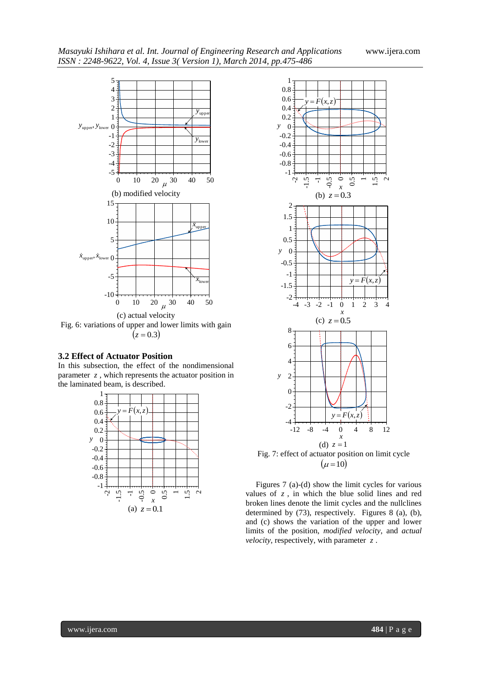

## **3.2 Effect of Actuator Position**

In this subsection, the effect of the nondimensional parameter *z* , which represents the actuator position in the laminated beam, is described.





 $(\mu = 10)$ 

 $\frac{1}{\pi}$   $\frac{1}{\pi}$   $\frac{1}{\pi}$   $\frac{1}{\pi}$  values of z, in which the blue solid lines and red Figures 7 (a)-(d) show the limit cycles for various broken lines denote the limit cycles and the nullclines determined by (73), respectively. Figures 8 (a), (b), and (c) shows the variation of the upper and lower limits of the position, *modified velocity*, and *actual velocity*, respectively, with parameter *z* .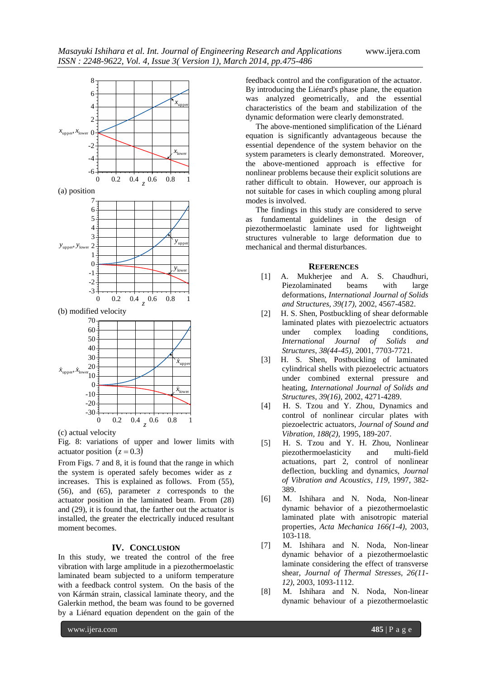

(c) actual velocity

Fig. 8: variations of upper and lower limits with actuator position  $(z = 0.3)$ 

-30 <del>1 . . . | . . . | . . . | . . . | . . . .</del> 1

From Figs. 7 and 8, it is found that the range in which the system is operated safely becomes wider as *z* increases. This is explained as follows. From (55), (56), and (65), parameter *z* corresponds to the actuator position in the laminated beam. From (28) and (29), it is found that, the farther out the actuator is installed, the greater the electrically induced resultant moment becomes.

# **IV. CONCLUSION**

In this study, we treated the control of the free vibration with large amplitude in a piezothermoelastic laminated beam subjected to a uniform temperature with a feedback control system. On the basis of the von Kármán strain, classical laminate theory, and the Galerkin method, the beam was found to be governed by a Liénard equation dependent on the gain of the

feedback control and the configuration of the actuator. By introducing the Liénard's phase plane, the equation was analyzed geometrically, and the essential characteristics of the beam and stabilization of the dynamic deformation were clearly demonstrated.

0 0.2 0.4  $\frac{1}{z}$  0.6 0.8 1 rather difficult to obtain. However, our approach is The above-mentioned simplification of the Liénard equation is significantly advantageous because the essential dependence of the system behavior on the system parameters is clearly demonstrated. Moreover, the above-mentioned approach is effective for nonlinear problems because their explicit solutions are not suitable for cases in which coupling among plural modes is involved.

> The findings in this study are considered to serve as fundamental guidelines in the design of piezothermoelastic laminate used for lightweight structures vulnerable to large deformation due to mechanical and thermal disturbances.

## **REFERENCES**

- [1] A. Mukherjee and A. S. Chaudhuri, Piezolaminated beams with large deformations, *International Journal of Solids and Structures, 39(17),* 2002, 4567-4582.
- [2] H. S. Shen, Postbuckling of shear deformable laminated plates with piezoelectric actuators under complex loading conditions, *International Journal of Solids and Structures, 38(44-45),* 2001, 7703-7721.
- [3] H. S. Shen, Postbuckling of laminated cylindrical shells with piezoelectric actuators under combined external pressure and heating, *International Journal of Solids and Structures, 39(16),* 2002, 4271-4289.
- 0 0.2 0.4 0.6 0.8 1 piezoele [4] H. S. Tzou and Y. Zhou, Dynamics and control of nonlinear circular plates with piezoelectric actuators, *Journal of Sound and Vibration, 188(2),* 1995, 189-207.
	- [5] H. S. Tzou and Y. H. Zhou, Nonlinear piezothermoelasticity and multi-field actuations, part 2, control of nonlinear deflection, buckling and dynamics, *Journal of Vibration and Acoustics, 119,* 1997, 382- 389.
	- [6] M. Ishihara and N. Noda, Non-linear dynamic behavior of a piezothermoelastic laminated plate with anisotropic material properties, *Acta Mechanica 166(1-4),* 2003, 103-118.
	- [7] M. Ishihara and N. Noda, Non-linear dynamic behavior of a piezothermoelastic laminate considering the effect of transverse shear, *Journal of Thermal Stresses, 26(11- 12),* 2003, 1093-1112.
	- [8] M. Ishihara and N. Noda, Non-linear dynamic behaviour of a piezothermoelastic